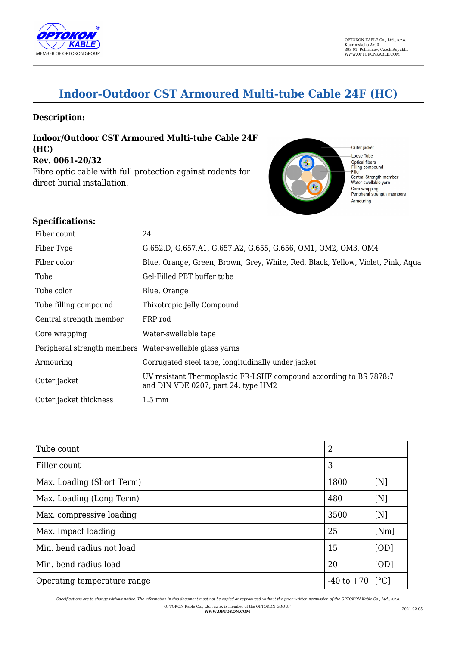

# **Indoor-Outdoor CST Armoured Multi-tube Cable 24F (HC)**

### **Description:**

**Indoor/Outdoor CST Armoured Multi-tube Cable 24F (HC) Rev. 0061-20/32** Fibre optic cable with full protection against rodents for direct burial installation.



## **Specifications:**

| Fiber count                                             | 24                                                                                                        |
|---------------------------------------------------------|-----------------------------------------------------------------------------------------------------------|
| Fiber Type                                              | G.652.D, G.657.A1, G.657.A2, G.655, G.656, OM1, OM2, OM3, OM4                                             |
| Fiber color                                             | Blue, Orange, Green, Brown, Grey, White, Red, Black, Yellow, Violet, Pink, Aqua                           |
| Tube                                                    | Gel-Filled PBT buffer tube                                                                                |
| Tube color                                              | Blue, Orange                                                                                              |
| Tube filling compound                                   | Thixotropic Jelly Compound                                                                                |
| Central strength member                                 | FRP rod                                                                                                   |
| Core wrapping                                           | Water-swellable tape                                                                                      |
| Peripheral strength members Water-swellable glass yarns |                                                                                                           |
| Armouring                                               | Corrugated steel tape, longitudinally under jacket                                                        |
| Outer jacket                                            | UV resistant Thermoplastic FR-LSHF compound according to BS 7878.7<br>and DIN VDE 0207, part 24, type HM2 |
| Outer jacket thickness                                  | $1.5 \text{ mm}$                                                                                          |

| Tube count                  |      |              |
|-----------------------------|------|--------------|
| Filler count                | 3    |              |
| Max. Loading (Short Term)   | 1800 | [N]          |
| Max. Loading (Long Term)    | 480  | [N]          |
| Max. compressive loading    | 3500 | [N]          |
| Max. Impact loading         | 25   | [Nm]         |
| Min. bend radius not load   | 15   | [OD]         |
| Min. bend radius load       | 20   | [OD]         |
| Operating temperature range |      | $\lceil$ °C] |

*Specifications are to change without notice. The information in this document must not be copied or reproduced without the prior written permission of the OPTOKON Kable Co., Ltd., s.r.o.* OPTOKON Kable Co., Ltd., s.r.o. is member of the OPTOKON GROUP **WWW.OPTOKON.COM** 2021-02-05